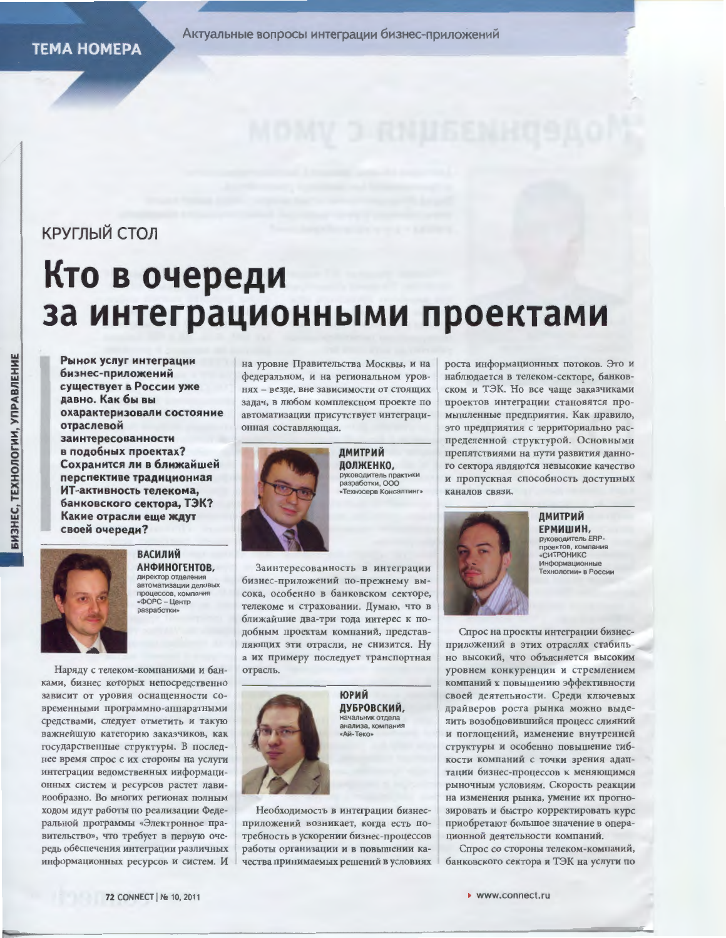Актуальные вопросы интеграции бизнес-приложений

# КРУГЛЫЙ СТОЛ

# Кто в очереди за интеграционными проектами

Рынок услуг интеграции бизнес-приложений существует в России уже давно. Как бы вы охарактеризовали состояние отраслевой заинтересованности в подобных проектах? Сохранится ли в ближайшей перспективе традиционная ИТ-активность телекома. банковского сектора, ТЭК? Какие отрасли еще ждут своей очереди?



**ВАСИЛИЙ** АНФИНОГЕНТОВ. иректор отделе автоматизации деловых процессов, компания  $\text{LOPC} - \text{L}$ ентр **разработки** 

Наряду с телеком-компаниями и банками, бизнес которых непосредственно зависит от уровня оснащенности современными программно-аппаратными средствами, следует отметить и такую важнейшую категорию заказчиков, как государственные структуры. В последнее время спрос с их стороны на услуги интеграции ведомственных информационных систем и ресурсов растет лавинообразно. Во многих регионах полным ходом идут работы по реализации Федеральной программы «Электронное правительство», что требует в первую очередь обеспечения интеграции различных информационных ресурсов и систем. И

на уровне Правительства Москвы, и на федеральном, и на региональном уровнях - везде, вне зависимости от стоящих задач, в любом комплексном проекте по автоматизации присутствует интеграционная составляющая.



ДМИТРИЙ долженко, руководитель практики<br>разработки, ООО «Техносерв Консалтинг

Заинтересованность в интеграции бизнес-приложений по-прежнему высока, особенно в банковском секторе, телекоме и страховании. Думаю, что в ближайшие два-три года интерес к подобным проектам компаний, представляющих эти отрасли, не снизится. Ну а их примеру последует транспортная отрасль.



Необходимость в интеграции бизнесприложений возникает, когда есть потребность в ускорении бизнес-процессов работы организации и в повышении качества принимаемых решений в условиях

роста информационных потоков. Это и наблюдается в телеком-секторе, банковском и ТЭК. Но все чаще заказчиками проектов интеграции становятся промышленные предприятия. Как правило, это предприятия с территориально распределенной структурой. Основными препятствиями на пути развития данного сектора являются невысокие качество и пропускная способность доступных каналов связи.



**ДМИТРИЙ** ЕРМИШИН. руководитель ERP. проектов, компания «СИТРОНИКС Информационные Гехнологии» в России

Спрос на проекты интеграции бизнесприложений в этих отраслях стабильно высокий, что объясняется высоким уровнем конкуренции и стремлением компаний к повышению эффективности своей деятельности. Среди ключевых драйверов роста рынка можно выделить возобновившийся процесс слияний и поглощений, изменение внутренней структуры и особенно повышение гибкости компаний с точки зрения адаптации бизнес-процессов к меняющимся рыночным условиям. Скорость реакции на изменения рынка, умение их прогнозировать и быстро корректировать курс приобретают большое значение в операционной деятельности компаний.

Спрос со стороны телеком-компаний, банковского сектора и ТЭК на услуги по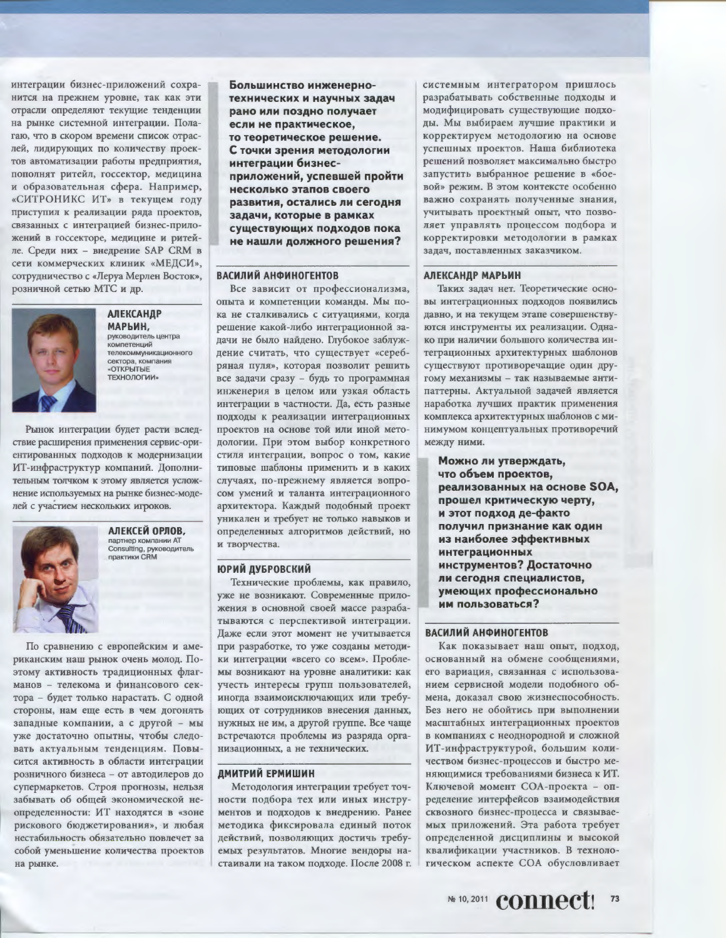интеграции бизнес-приложений сохранится на прежнем уровне, так как эти отрасли определяют текущие тенденции на рынке системной интеграции. Полагаю, что в скором времени список отраслей, лидирующих по количеству проектов автоматизации работы предприятия, пополнят ритейл, госсектор, медицина и образовательная сфера. Например, «СИТРОНИКС ИТ» в текущем году приступил к реализации ряда проектов, связанных с интеграцией бизнес-приложений в госсекторе, медицине и ритейле. Среди них - внедрение SAP CRM в сети коммерческих клиник «МЕДСИ», сотрудничество с «Леруа Мерлен Восток», розничной сетью МТС и др.



# **АЛЕКСАНДР** МАРЬИН,

руководитель центра компетенций телекоммуникационного сектора, компания «ОТКРЫТЫЕ **ТЕХНОЛОГИИ»** 

Рынок интеграции будет расти вследствие расширения применения сервис-ориентированных подходов к модернизации ИТ-инфраструктур компаний. Дополнительным толчком к этому является усложнение используемых на рынке бизнес-моделей с участием нескольких игроков.



АЛЕКСЕЙ ОРЛОВ, партнер компании АТ Consulting, руководитель практики CRM

По сравнению с европейским и американским наш рынок очень молод. Поэтому активность традиционных флагманов - телекома и финансового сектора - будет только нарастать. С одной стороны, нам еще есть в чем догонять западные компании, а с другой - мы уже достаточно опытны, чтобы следовать актуальным тенденциям. Повысится активность в области интеграции розничного бизнеса - от автодилеров до супермаркетов. Строя прогнозы, нельзя забывать об общей экономической неопределенности: ИТ находятся в «зоне рискового бюджетирования», и любая нестабильность обязательно повлечет за собой уменьшение количества проектов на рынке.

Большинство инженернотехнических и научных задач рано или поздно получает если не практическое. то теоретическое решение. С точки зрения методологии интеграции бизнесприложений, успевшей пройти несколько этапов своего развития, остались ли сегодня задачи, которые в рамках существующих подходов пока не нашли должного решения?

## **ВАСИЛИЙ АНФИНОГЕНТОВ**

Все зависит от профессионализма, опыта и компетенции команды. Мы пока не сталкивались с ситуациями, когда решение какой-либо интеграционной задачи не было найдено. Глубокое заблуждение считать, что существует «серебряная пуля», которая позволит решить все задачи сразу - будь то программная инженерия в целом или узкая область интеграции в частности. Да, есть разные подходы к реализации интеграционных проектов на основе той или иной методологии. При этом выбор конкретного стиля интеграции, вопрос о том, какие типовые шаблоны применить и в каких случаях, по-прежнему является вопросом умений и таланта интеграционного архитектора. Каждый подобный проект уникален и требует не только навыков и определенных алгоритмов действий, но и творчества.

#### **ЮРИЙ ДУБРОВСКИЙ**

Технические проблемы, как правило, уже не возникают. Современные приложения в основной своей массе разрабатываются с перспективой интеграции. Даже если этот момент не учитывается при разработке, то уже созданы методики интеграции «всего со всем». Проблемы возникают на уровне аналитики: как учесть интересы групп пользователей, иногда взаимоисключающих или требующих от сотрудников внесения данных, нужных не им, а другой группе. Все чаще встречаются проблемы из разряда организационных, а не технических.

#### ДМИТРИЙ ЕРМИШИН

Методология интеграции требует точности подбора тех или иных инструментов и подходов к внедрению. Ранее методика фиксировала единый поток действий, позволяющих достичь требуемых результатов. Многие вендоры настаивали на таком подходе. После 2008 г.

системным интегратором пришлось разрабатывать собственные подходы и модифицировать существующие подходы. Мы выбираем лучшие практики и корректируем методологию на основе успешных проектов. Наша библиотека решений позволяет максимально быстро запустить выбранное решение в «боевой» режим. В этом контексте особенно важно сохранять полученные знания. учитывать проектный опыт, что позволяет управлять процессом подбора и корректировки методологии в рамках задач, поставленных заказчиком.

#### **АЛЕКСАНДР МАРЬИН**

Таких задач нет. Теоретические основы интеграционных подходов появились давно, и на текущем этапе совершенствуются инструменты их реализации. Однако при наличии большого количества интеграционных архитектурных шаблонов существуют противоречащие один другому механизмы - так называемые антипаттерны. Актуальной задачей является наработка лучших практик применения комплекса архитектурных шаблонов с минимумом концептуальных противоречий между ними.

Можно ли утверждать, что объем проектов. реализованных на основе SOA, прошел критическую черту, и этот подход де-факто получил признание как один из наиболее эффективных интеграционных инструментов? Достаточно ли сегодня специалистов. умеющих профессионально им пользоваться?

#### ВАСИЛИЙ АНФИНОГЕНТОВ

Как показывает наш опыт, подход, основанный на обмене сообщениями, его вариация, связанная с использованием сервисной модели подобного обмена, доказал свою жизнеспособность. Без него не обойтись при выполнении масштабных интеграционных проектов в компаниях с неоднородной и сложной ИТ-инфраструктурой, большим количеством бизнес-процессов и быстро меняющимися требованиями бизнеса к ИТ. Ключевой момент СОА-проекта - определение интерфейсов взаимодействия сквозного бизнес-процесса и связываемых приложений. Эта работа требует определенной дисциплины и высокой квалификации участников. В технологическом аспекте СОА обусловливает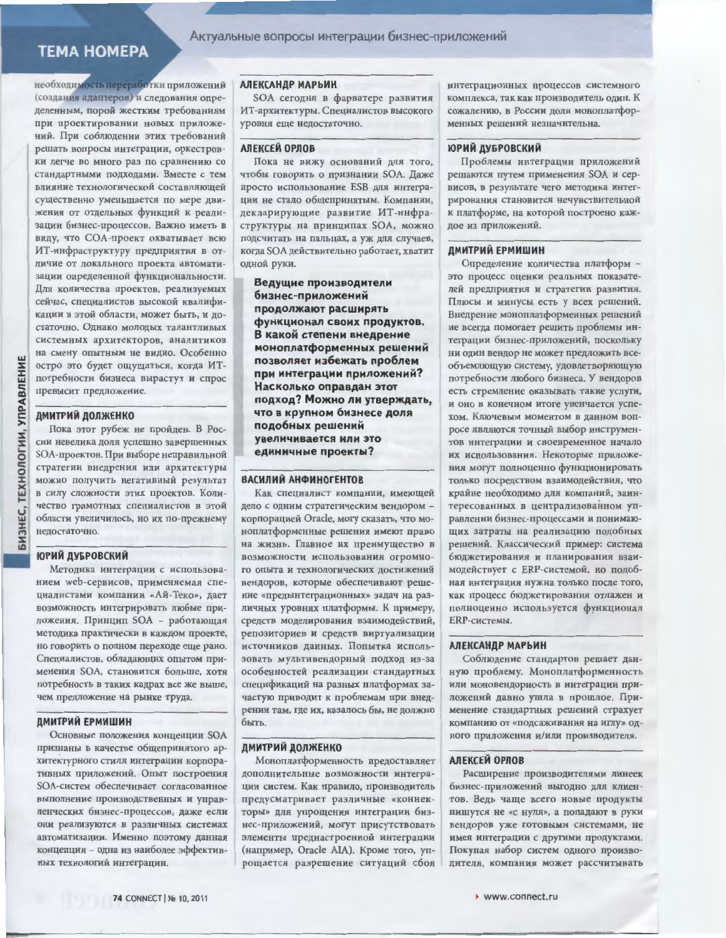# **TEMA HOMEPA**

необходимость переработки приложений (создания адаптеров) и следования определенным, порой жестким требованиям при проектировании новых приложений. При соблюдении этих требований решать вопросы интеграции, оркестровки легче во много раз по сравнению со стандартными подходами. Вместе с тем влияние технологической составляющей существенно уменьшается по мере движения от отдельных функций к реализации бизнес-процессов. Важно иметь в виду, что СОА-проект охватывает всю ИТ-инфраструктуру предприятия в отличие от локального проекта автоматизации определенной функциональности. Для количества проектов, реализуемых сейчас, специалистов высокой квалификации в этой области, может быть, и достаточно. Однако молодых талантливых системных архитекторов, аналитиков на смену опытным не видно. Особенно остро это будет ощущаться, когда ИТпотребности бизнеса вырастут и спрос превысит предложение.

#### **ДМИТРИЙ ДОЛЖЕНКО**

Пока этот рубеж не пройден. В России невелика доля успешно завершенных SOA-проектов. При выборе неправильной стратегии внедрения или архитектуры можно получить негативный результат в силу сложности этих проектов. Количество грамотных специалистов в этой области увеличилось, но их по-прежнему недостаточно.

#### **ЮРИЙ ДУБРОВСКИЙ**

Методика интеграции с использованием web-сервисов, применяемая специалистами компании «Ай-Теко», дает возможность интегрировать любые приложения. Принцип SOA - работающая методика практически в каждом проекте, но говорить о полном переходе еще рано. Специалистов, обладающих опытом применения SOA, становится больше, хотя потребность в таких кадрах все же выше, чем предложение на рынке труда.

## ДМИТРИЙ ЕРМИШИН

Основные положения концепции SOA признаны в качестве общепринятого архитектурного стиля интеграции корпоративных приложений. Опыт построения SOA-систем обеспечивает согласованное выполнение производственных и управленческих бизнес-процессов, даже если они реализуются в различных системах автоматизации. Именно поэтому данная концепция - одна из наиболее эффективных технологий интеграции.

#### **АЛЕКСАНДР МАРЬИН**

SOA сегодня в фарватере развития ИТ-архитектуры. Специалистов высокого уровня еще недостаточно.

#### АЛЕКСЕЙ ОРЛОВ

Пока не вижу оснований для того, чтобы говорить о признании SOA. Даже просто использование ESB для интеграции не стало общепринятым. Компании, декларирующие развитие ИТ-инфраструктуры на принципах SOA, можно подсчитать на пальцах, а уж для случаев, когда SOA действительно работает, хватит одной руки.

Ведущие производители бизнес-приложений продолжают расширять функционал своих продуктов. В какой степени внедрение моноплатформенных решений позволяет избежать проблем при интеграции приложений? Насколько оправдан этот подход? Можно ли утверждать, что в крупном бизнесе доля подобных решений увеличивается или это единичные проекты?

#### ВАСИЛИЙ АНФИНОГЕНТОВ

Как специалист компании, имеющей дело с одним стратегическим вендором корпорацией Oracle, могу сказать, что моноплатформенные решения имеют право на жизнь. Главное их преимущество в возможности использования огромного опыта и технологических достижений вендоров, которые обеспечивают решение «предынтеграционных» задач на различных уровнях платформы. К примеру, средств моделирования взаимодействий, репозиториев и средств виртуализации источников данных. Попытка использовать мультивендорный подход из-за особенностей реализации стандартных спецификаций на разных платформах зачастую приводит к проблемам при внедрении там, где их, казалось бы, не должно быть.

#### **ДМИТРИЙ ДОЛЖЕНКО**

Моноплатформенность предоставляет дополнительные возможности интеграции систем. Как правило, производитель предусматривает различные «коннекторы» для упрощения интеграции бизнес-приложений, могут присутствовать элементы преднастроенной интеграции (например, Oracle AIA). Кроме того, упрощается разрешение ситуаций сбоя

интеграционных процессов системного комплекса, так как производитель один. К сожалению, в России доля моноплатформенных решений незначительна.

#### ЮРИЙ ДУБРОВСКИЙ

Проблемы интеграции приложений решаются путем применения SOA и сервисов, в результате чего методика интегрирования становится нечувствительной к платформе, на которой построено каждое из приложений.

#### ДМИТРИЙ ЕРМИШИН

Определение количества платформ это процесс оценки реальных показателей предприятия и стратегии развития. Плюсы и минусы есть у всех решений. Внедрение моноплатформенных решений не всегда помогает решить проблемы интеграции бизнес-приложений, поскольку ни один вендор не может предложить всеобъемлющую систему, удовлетворяющую потребности любого бизнеса. У вендоров есть стремление оказывать такие услуги, и оно в конечном итоге увенчается успехом. Ключевым моментом в данном вопросе являются точный выбор инструментов интеграции и своевременное начало их использования. Некоторые приложения могут полноценно функционировать только посредством взаимодействия, что крайне необходимо для компаний, заинтересованных в централизованном управлении бизнес-процессами и понимающих затраты на реализацию подобных решений. Классический пример: система бюджетирования и планирования взаимодействует с ERP-системой, но подобная интеграция нужна только после того, как процесс бюджетирования отлажен и полноценно используется функционал ERP-системы.

#### **АЛЕКСАНДР МАРЬИН**

Соблюдение стандартов решает данную проблему. Моноплатформенность или моновендорность в интеграции приложений давно ушла в прошлое. Применение стандартных решений страхует компанию от «подсаживания на иглу» одного приложения и/или производителя.

#### **АЛЕКСЕЙ ОРЛОВ**

Расширение производителями линеек бизнес-приложений выгодно для клиентов. Ведь чаще всего новые продукты пишутся не «с нуля», а попадают в руки вендоров уже готовыми системами, не имея интеграции с другими продуктами. Покупая набор систем одного производителя, компания может рассчитывать